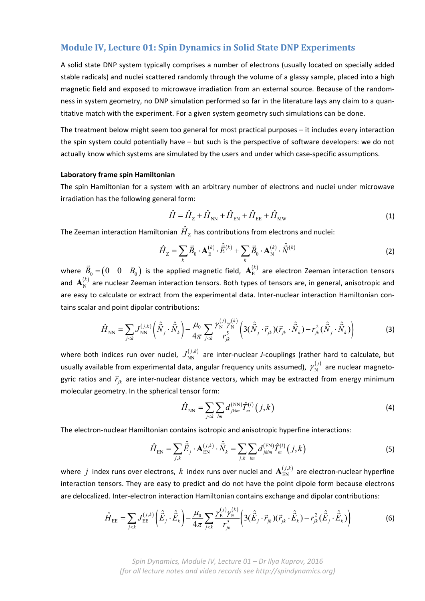## **Module IV, Lecture 01: Spin Dynamics in Solid State DNP Experiments**

A solid state DNP system typically comprises a number of electrons (usually located on specially added stable radicals) and nuclei scattered randomly through the volume of a glassy sample, placed into a high magnetic field and exposed to microwave irradiation from an external source. Because of the random‐ ness in system geometry, no DNP simulation performed so far in the literature lays any claim to a quan‐ titative match with the experiment. For a given system geometry such simulations can be done.

The treatment below might seem too general for most practical purposes – it includes every interaction the spin system could potentially have – but such is the perspective of software developers: we do not actually know which systems are simulated by the users and under which case‐specific assumptions.

## **Laboratory frame spin Hamiltonian**

The spin Hamiltonian for a system with an arbitrary number of electrons and nuclei under microwave irradiation has the following general form:

$$
\hat{H} = \hat{H}_{Z} + \hat{H}_{NN} + \hat{H}_{EN} + \hat{H}_{EE} + \hat{H}_{MW}
$$
\n(1)

The Zeeman interaction Hamiltonian  $\hat{H}_7$  has contributions from electrons and nuclei:

$$
\hat{H}_{Z} = \sum_{k} \vec{B}_{0} \cdot \mathbf{A}_{E}^{(k)} \cdot \hat{\vec{E}}^{(k)} + \sum_{k} \vec{B}_{0} \cdot \mathbf{A}_{N}^{(k)} \cdot \hat{\vec{N}}^{(k)}
$$
(2)

where  $\vec{B}_0 = \begin{pmatrix} 0 & 0 & B_0 \end{pmatrix}$  is the applied magnetic field,  $\overline{\mathbf{A}}_{\rm E}^{(k)}$  are electron Zeeman interaction tensors and  $\mathbf{A}^{(k)}_{\rm N}$  are nuclear Zeeman interaction tensors. Both types of tensors are, in general, anisotropic and are easy to calculate or extract from the experimental data. Inter-nuclear interaction Hamiltonian contains scalar and point dipolar contributions:

$$
\hat{H}_{\text{NN}} = \sum_{j < k} J_{\text{NN}}^{(j,k)} \left( \hat{\vec{N}}_j \cdot \hat{\vec{N}}_k \right) - \frac{\mu_0}{4\pi} \sum_{j < k} \frac{\gamma_{\text{N}}^{(j)} \gamma_{\text{N}}^{(k)}}{r_{jk}^5} \left( 3(\hat{\vec{N}}_j \cdot \vec{r}_{jk}) (\vec{r}_{jk} \cdot \hat{\vec{N}}_k) - r_{jk}^2 (\hat{\vec{N}}_j \cdot \hat{\vec{N}}_k) \right) \tag{3}
$$

where both indices run over nuclei,  $J_{\text{NN}}^{(j,k)}$  are inter-nuclear *J*-couplings (rather hard to calculate, but usually available from experimental data, angular frequency units assumed),  $\,\gamma_{{}_{\rm N}}^{(j)}\,$  are nuclear magnetogyric ratios and  $\vec{r}_{jk}$  are inter-nuclear distance vectors, which may be extracted from energy minimum molecular geometry. In the spherical tensor form:

$$
\hat{H}_{\rm NN} = \sum_{j < k} \sum_{lm} d_{jklm}^{(\rm NN)} \hat{T}_m^{(l)}(j, k) \tag{4}
$$

The electron‐nuclear Hamiltonian contains isotropic and anisotropic hyperfine interactions:

$$
\hat{H}_{EN} = \sum_{j,k} \hat{\vec{E}}_j \cdot \mathbf{A}_{EN}^{(j,k)} \cdot \hat{\vec{N}}_k = \sum_{j,k} \sum_{lm} d_{jklm}^{(EN)} \hat{T}_m^{(l)}(j,k)
$$
(5)

where  $j$  index runs over electrons,  $k$  index runs over nuclei and  ${\bf A}_{\rm EN}^{(j,k)}$  are electron-nuclear hyperfine interaction tensors. They are easy to predict and do not have the point dipole form because electrons are delocalized. Inter-electron interaction Hamiltonian contains exchange and dipolar contributions:

$$
\hat{H}_{\text{EE}} = \sum_{j < k} J_{\text{EE}}^{(j,k)} \left( \hat{\vec{E}}_j \cdot \hat{\vec{E}}_k \right) - \frac{\mu_0}{4\pi} \sum_{j < k} \frac{\gamma_E^{(j)} \gamma_E^{(k)}}{r_{jk}^5} \left( 3(\hat{\vec{E}}_j \cdot \vec{r}_{jk}) (\vec{r}_{jk} \cdot \hat{\vec{E}}_k) - r_{jk}^2 (\hat{\vec{E}}_j \cdot \hat{\vec{E}}_k) \right) \tag{6}
$$

*Spin Dynamics, Module IV, Lecture 01 – Dr Ilya Kuprov, 2016 (for all lecture notes and video records see http://spindynamics.org)*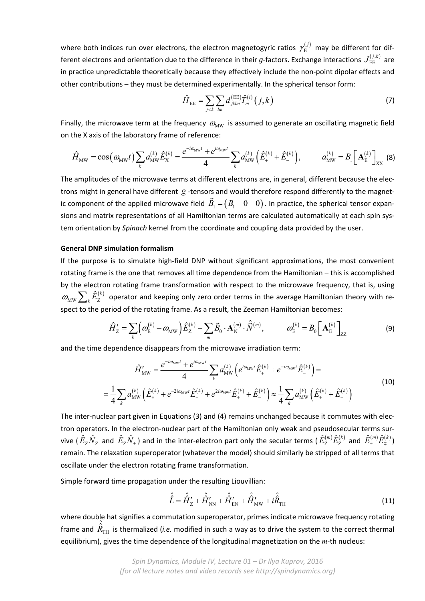where both indices run over electrons, the electron magnetogyric ratios  $\,\mathcal{V}^{(j)}_{\rm E}\,$  may be different for different electrons and orientation due to the difference in their g-factors. Exchange interactions  $J_{\rm EE}^{(j,k)}$  are in practice unpredictable theoretically because they effectively include the non‐point dipolar effects and other contributions – they must be determined experimentally. In the spherical tensor form:

$$
\hat{H}_{EE} = \sum_{j < k} \sum_{lm} d_{jklm}^{(EE)} \hat{T}_m^{(l)}(j, k) \tag{7}
$$

Finally, the microwave term at the frequency  $\omega_{\text{MW}}$  is assumed to generate an oscillating magnetic field on the X axis of the laboratory frame of reference:

$$
\hat{H}_{\text{MW}} = \cos(\omega_{\text{MW}}t) \sum_{k} a_{\text{MW}}^{(k)} \hat{E}_{\text{X}}^{(k)} = \frac{e^{-i\omega_{\text{MW}}t} + e^{i\omega_{\text{MW}}t}}{4} \sum_{k} a_{\text{MW}}^{(k)} (\hat{E}_{+}^{(k)} + \hat{E}_{-}^{(k)}), \qquad a_{\text{MW}}^{(k)} = B_{1} \left[ \mathbf{A}_{\text{E}}^{(k)} \right]_{\text{XX}} \tag{8}
$$

The amplitudes of the microwave terms at different electrons are, in general, different because the elec‐ trons might in general have different *g* -tensors and would therefore respond differently to the magnetic component of the applied microwave field  $\vec{B}_1 = (B_1 \ 0 \ 0)$ . In practice, the spherical tensor expansions and matrix representations of all Hamiltonian terms are calculated automatically at each spin system orientation by *Spinach* kernel from the coordinate and coupling data provided by the user.

## **General DNP simulation formalism**

If the purpose is to simulate high-field DNP without significant approximations, the most convenient rotating frame is the one that removes all time dependence from the Hamiltonian – this is accomplished by the electron rotating frame transformation with respect to the microwave frequency, that is, using  $\omega_\text{\tiny MW} \sum_k \hat E^{(k)}_Z$  operator and keeping only zero order terms in the average Hamiltonian theory with respect to the period of the rotating frame. As a result, the Zeeman Hamiltonian becomes:

$$
\hat{H}'_Z = \sum_k \left( \omega_E^{(k)} - \omega_{\text{MW}} \right) \hat{E}_Z^{(k)} + \sum_m \vec{B}_0 \cdot \mathbf{A}_N^{(m)} \cdot \hat{\vec{N}}^{(m)}, \qquad \omega_E^{(k)} = B_0 \left[ \mathbf{A}_E^{(k)} \right]_{ZZ}
$$
(9)

and the time dependence disappears from the microwave irradiation term:

$$
\hat{H}'_{\text{MW}} = \frac{e^{-i\omega_{\text{MW}}t} + e^{i\omega_{\text{MW}}t}}{4} \sum_{k} a_{\text{MW}}^{(k)} \left( e^{i\omega_{\text{MW}}t} \hat{E}_{+}^{(k)} + e^{-i\omega_{\text{MW}}t} \hat{E}_{-}^{(k)} \right) =
$$
\n
$$
= \frac{1}{4} \sum_{k} a_{\text{MW}}^{(k)} \left( \hat{E}_{+}^{(k)} + e^{-2i\omega_{\text{MW}}t} \hat{E}_{-}^{(k)} + e^{2i\omega_{\text{MW}}t} \hat{E}_{+}^{(k)} + \hat{E}_{-}^{(k)} \right) \approx \frac{1}{4} \sum_{k} a_{\text{MW}}^{(k)} \left( \hat{E}_{+}^{(k)} + \hat{E}_{-}^{(k)} \right)
$$
\n(10)

The inter-nuclear part given in Equations (3) and (4) remains unchanged because it commutes with electron operators. In the electron-nuclear part of the Hamiltonian only weak and pseudosecular terms survive (  $\hat E_Z\hat N_Z^-$  and  $\hat E_Z\hat N_\pm$  ) and in the inter-electron part only the secular terms (  $\hat E^{(m)}_Z\hat E^{(k)}_Z$  and  $\hat E^{(m)}_\pm\hat E^{(k)}_\mp)$ remain. The relaxation superoperator (whatever the model) should similarly be stripped of all terms that oscillate under the electron rotating frame transformation.

Simple forward time propagation under the resulting Liouvillian:

$$
\hat{\hat{L}} = \hat{\hat{H}}'_{Z} + \hat{\hat{H}}'_{NN} + \hat{\hat{H}}'_{EN} + \hat{\hat{H}}'_{MW} + i\hat{\hat{R}}_{TH}
$$
\n(11)

where double hat signifies a commutation superoperator, primes indicate microwave frequency rotating frame and  $\,_{\rm TH}$  $\hat{R}_{\text{TH}}$  is thermalized (*i.e.* modified in such a way as to drive the system to the correct thermal equilibrium), gives the time dependence of the longitudinal magnetization on the *m*‐th nucleus: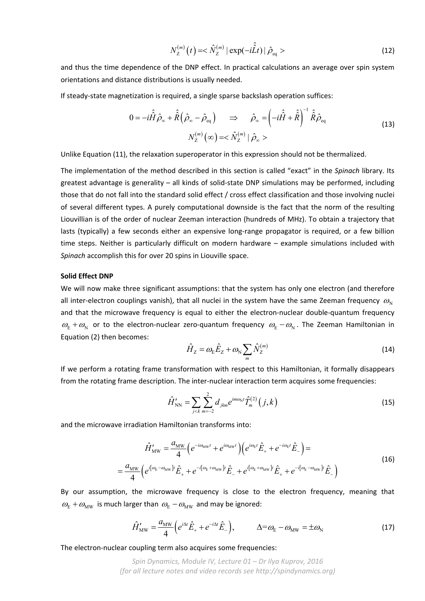$$
N_Z^{(m)}(t) = <\hat{N}_Z^{(m)} | \exp(-i\hat{\hat{L}}t) | \hat{\rho}_{\text{eq}}>
$$
 (12)

and thus the time dependence of the DNP effect. In practical calculations an average over spin system orientations and distance distributions is usually needed.

If steady‐state magnetization is required, a single sparse backslash operation suffices:

$$
0 = -i\hat{H}\hat{\rho}_{\infty} + \hat{\hat{R}}\left(\hat{\rho}_{\infty} - \hat{\rho}_{\text{eq}}\right) \Rightarrow \hat{\rho}_{\infty} = \left(-i\hat{H} + \hat{R}\right)^{-1}\hat{R}\hat{\rho}_{\text{eq}}
$$
  

$$
N_Z^{(m)}(\infty) = \hat{N}_Z^{(m)} | \hat{\rho}_{\infty} >
$$
 (13)

Unlike Equation (11), the relaxation superoperator in this expression should not be thermalized.

The implementation of the method described in this section is called "exact" in the *Spinach* library. Its greatest advantage is generality – all kinds of solid‐state DNP simulations may be performed, including those that do not fall into the standard solid effect / cross effect classification and those involving nuclei of several different types. A purely computational downside is the fact that the norm of the resulting Liouvillian is of the order of nuclear Zeeman interaction (hundreds of MHz). To obtain a trajectory that lasts (typically) a few seconds either an expensive long-range propagator is required, or a few billion time steps. Neither is particularly difficult on modern hardware – example simulations included with *Spinach* accomplish this for over 20 spins in Liouville space.

## **Solid Effect DNP**

We will now make three significant assumptions: that the system has only one electron (and therefore all inter-electron couplings vanish), that all nuclei in the system have the same Zeeman frequency  $\omega_{\rm M}$ and that the microwave frequency is equal to either the electron-nuclear double-quantum frequency  $\omega_{\rm E} + \omega_{\rm N}$  or to the electron-nuclear zero-quantum frequency  $\omega_{\rm E} - \omega_{\rm N}$ . The Zeeman Hamiltonian in Equation (2) then becomes:

$$
\hat{H}_Z = \omega_E \hat{E}_Z + \omega_N \sum_m \hat{N}_Z^{(m)} \tag{14}
$$

If we perform a rotating frame transformation with respect to this Hamiltonian, it formally disappears from the rotating frame description. The inter-nuclear interaction term acquires some frequencies:

$$
\hat{H}'_{\rm NN} = \sum_{j < k} \sum_{m=-2}^{2} d_{jkm} e^{im\omega_{\rm N}t} \hat{T}_m^{(2)}(j,k) \tag{15}
$$

and the microwave irradiation Hamiltonian transforms into:

$$
\hat{H}'_{\text{MW}} = \frac{a_{\text{MW}}}{4} \Big( e^{-i\omega_{\text{MW}}t} + e^{i\omega_{\text{MW}}t} \Big) \Big( e^{i\omega_{\text{E}}t} \hat{E}_+ + e^{-i\omega_{\text{E}}t} \hat{E}_- \Big) =
$$
\n
$$
= \frac{a_{\text{MW}}}{4} \Big( e^{i[\omega_{\text{E}} - \omega_{\text{MW}}]t} \hat{E}_+ + e^{-i[\omega_{\text{E}} + \omega_{\text{MW}}]t} \hat{E}_- + e^{i[\omega_{\text{E}} + \omega_{\text{MW}}]t} \hat{E}_+ + e^{-i[\omega_{\text{E}} - \omega_{\text{MW}}]t} \hat{E}_- \Big)
$$
\n(16)

By our assumption, the microwave frequency is close to the electron frequency, meaning that  $\omega_{\rm E} + \omega_{\rm MW}$  is much larger than  $\omega_{\rm E} - \omega_{\rm MW}$  and may be ignored:

$$
\hat{H}'_{\text{MW}} = \frac{a_{\text{MW}}}{4} \left( e^{i\Delta t} \hat{E}_+ + e^{-i\Delta t} \hat{E}_- \right), \qquad \Delta = \omega_{\text{E}} - \omega_{\text{MW}} = \pm \omega_{\text{N}} \tag{17}
$$

The electron‐nuclear coupling term also acquires some frequencies:

*Spin Dynamics, Module IV, Lecture 01 – Dr Ilya Kuprov, 2016 (for all lecture notes and video records see http://spindynamics.org)*